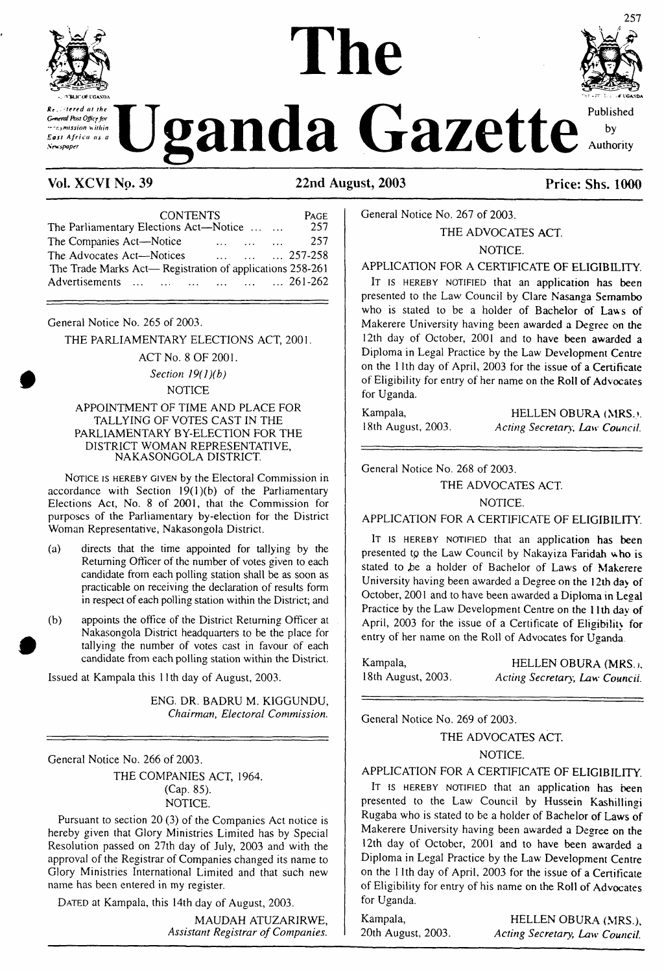

*General fast Office for ~-remission within East Africa as a Sewspaper*

*. -rered at the*

# **The** ganda Gazette



by Authority

# **Vol. XCVI No. 39 22nd August, 2003 Price: Shs. 1000**

| <b>CONTENTS</b>                                              | <b>PAGE</b> |
|--------------------------------------------------------------|-------------|
| The Parliamentary Elections Act—Notice                       | 257         |
| The Companies Act-Notice<br><b>Allen State State</b>         | 257         |
| The Advocates Act-Notices<br>$\dots$ $\dots$ $\dots$ 257-258 |             |
| The Trade Marks Act— Registration of applications 258-261    |             |
| Advertisements       261-262                                 |             |

General Notice No. 265 of 2003.

THE PARLIAMENTARY ELECTIONS ACT, 2001.

ACT No. 8 OF 2001. *Section 19(l)(b)* **NOTICE** 

#### APPOINTMENT OF TIME AND PLACE FOR TALLYING OF VOTES CAST IN THE PARLIAMENTARY BY-ELECTION FOR THE DISTRICT WOMAN REPRESENTATIVE, NAKASONGOLA DISTRICT.

NOTICE IS HEREBY GIVEN by the Electoral Commission in accordance with Section  $19(1)(b)$  of the Parliamentary Elections Act, No. 8 of 2001, that the Commission for purposes of the Parliamentary by-election for the District Woman Representative, Nakasongola District.

- (a) directs that the time appointed for tallying by the Returning Officer of the number of votes given to each candidate from each polling station shall be as soon as practicable on receiving the declaration of results form in respect of each polling station within the District; and
- (b) appoints the office of the District Returning Officer at Nakasongola District headquarters to be the place for tallying the number of votes cast in favour of each candidate from each polling station within the District.

Issued at Kampala this 11th day of August, 2003.

ENG. DR. BADRU M. KIGGUNDU, *Chairman, Electoral Commission.*

General Notice No. 266 of 2003.

THE COMPANIES ACT, 1964. (Cap. 85). NOTICE.

Pursuant to section 20 (3) of the Companies Act notice is hereby given that Glory Ministries Limited has by Special Resolution passed on 27th day of July, 2003 and with the approval of the Registrar of Companies changed its name to Glory Ministries International Limited and that such new name has been entered in my register.

DATED at Kampala, this 14th day of August, 2003.

MAUDAH ATUZARIRWE, *Assistant Registrar ofCompanies.* General Notice No. 267 of 2003.

THE ADVOCATES ACT.

NOTICE.

# APPLICATION FOR A CERTIFICATE OF ELIGIBILITY.

IT IS HEREBY NOTIFIED that an application has been presented to the Law Council by Clare Nasanga Semambo who is stated to be a holder of Bachelor of Laws of Makerere University having been awarded a Degree on the 12th day of October, 2001 and to have been awarded a Diploma in Legal Practice by the Law Development Centre on the 11th day of April, 2003 for the issue of a Certificate of Eligibility for entry of her name on the Roll of Advocates for Uganda.

Kampala, HELLEN OBURA (MRS.). 18th August, 2003. *Acting Secretary, Law Council.*

General Notice No. 268 of 2003.

THE ADVOCATES ACT.

# NOTICE.

APPLICATION FOR A CERTIFICATE OF ELIGIBILITY.

It is HEREBY NOTIFIED that an application has been presented to the Law Council by Nakayiza Faridah who is stated to be a holder of Bachelor of Laws of Makerere University having been awarded a Degree on the 12th day of October, 2001 and to have been awarded a Diploma in Legal Practice by the Law Development Centre on the 11th day of April, 2003 for the issue of a Certificate of Eligibility for entry of her name on the Roll of Advocates for Uganda

| Kampala,           | HELLEN OBURA (MRS.).           |
|--------------------|--------------------------------|
| 18th August, 2003. | Acting Secretary, Law Council. |

General Notice No. 269 of 2003.

THE ADVOCATES ACT.

NOTICE.

APPLICATION FOR A CERTIFICATE OF ELIGIBILITY.

IT is HEREBY NOTIFIED that an application has been presented to the Law Council by Hussein Kashillingi Rugaba who is stated to be a holder of Bachelor of Laws of Makerere University having been awarded a Degree on the 12th day of October, 2001 and to have been awarded a Diploma in Legal Practice by the Law Development Centre on the 11th day of April, 2003 for the issue of a Certificate of Eligibility for entry of his name on the Roll of Advocates for Uganda.

Kampala, HELLEN OBURA (MRS.),<br>20th August, 2003. Acting Secretary, Law Council. 20th August, 2003. *Acting Secretary, Law Council.*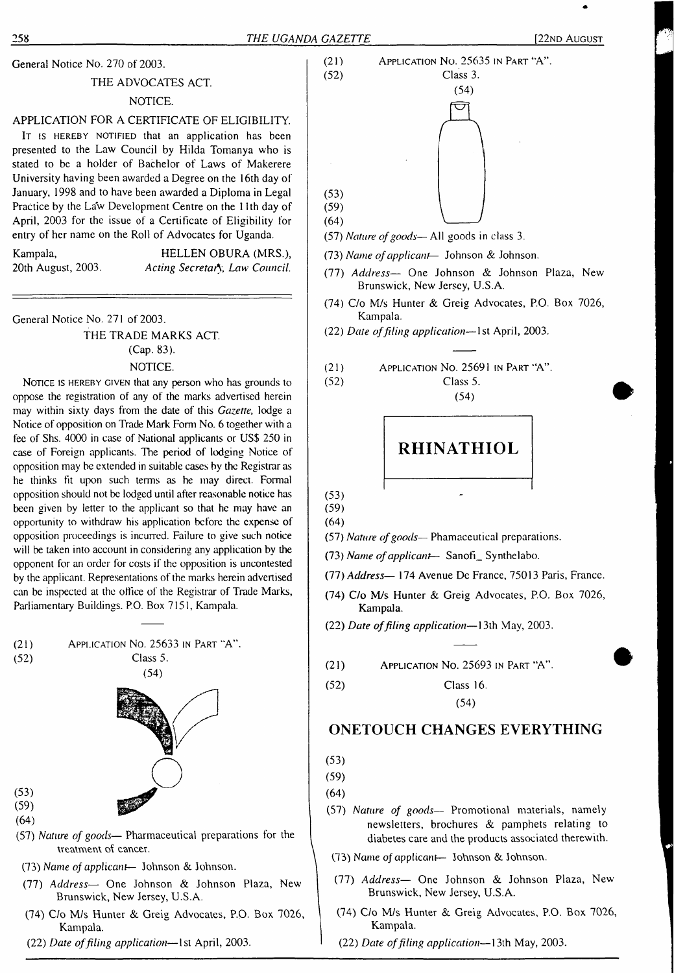General Notice No. 270 of 2003.

#### THE ADVOCATES ACT

# NOTICE.

# APPLICATION FOR A CERTIFICATE OF ELIGIBILITY.

It is HEREBY NOTIFIED that an application has been presented to the Law Council by Hilda Tomanya who is stated to be a holder of Bachelor of Laws of Makerere University having been awarded a Degree on the 16th day of January, 1998 and to have been awarded a Diploma in Legal Practice by the Law Development Centre on the 11th day of April, 2003 for the issue of a Certificate of Eligibility for entry of her name on the Roll of Advocates for Uganda.

| Kampala,           | HEL    |
|--------------------|--------|
| 20th August, 2003. | Acting |

LEN OBURA (MRS.), 20th August, 2003. *Acting Secretary, Law Council.*

General Notice No. 271 of 2003.

THE TRADE MARKS ACT. (Cap. 83). NOTICE.

NOTICE IS HEREBY GIVEN that any person who has grounds to oppose the registration of any of the marks advertised herein may within sixty days from the date of this *Gazette,* lodge a Notice of opposition on Trade Mark Form No. 6 together with a fee of Shs. 4000 in case of National applicants or US\$ 250 in case of Foreign applicants. The period of lodging Notice of opposition may be extended in suitable cases by the Registrar as he thinks fit upon such terms as he may direct. Formal opposition should not be lodged until after reasonable notice has been given by letter to the applicant so that he may have an opportunity to withdraw his application before the expense of opposition proceedings is incurred. Failure to give such notice will be taken into account in considering any application by the opponent for an order for costs if the opposition is uncontested by the applicant. Representations of the marks herein advertised can be inspected at the office of the Registrar of Trade Marks, Parliamentary Buildings. P.O. Box 7151, Kampala.





(59) (64)

(53)

- (57) *Nature of goods—* Pharmaceutical preparations for the treatment of cancer.
- (73) *Name of applicant—* Johnson & Johnson.
- (77) *Address—* One Johnson & Johnson Plaza, New Brunswick, New Jersey, U.S.A.
- (74) C/o M/s Hunter & Greig Advocates, P.O. Box 7026, Kampala.
- (22) *Date offiling application—*1st April, 2003.



- (57) *Nature ofgoods* All goods in class 3.
- (73) *Name ofapplicant—* Johnson & Johnson.
- (77) *Address—* One Johnson & Johnson Plaza, New Brunswick, New Jersey, U.S.A.
- (74) C/o M/s Hunter & Greig Advocates, P.O. Box 7026, Kampala.
- (22) *Date offiling application—*1st April, 2003.

(21) Application No. 2569<sup>1</sup> in Part "A". (52) Class 5. (54)



(53)

(59) (64)

- (57) *Nature ofgoods—* Phamaceutical preparations.
- (73) *Name ofapplicant* Sanofi\_ Synthelabo.
- (77) *Address—* 174 Avenue De France, 75013 Paris, France.
- (74) C/o M/s Hunter & Greig Advocates, P.O. Box 7026, Kampala.

(22) *Date offiling application—*13th May, 2003.

- (21) Application No. 25693 in Part "A".
- (52) Class 16. (54)

# **ONETOUCH CHANGES EVERYTHING**

(53)

(59)

(64)

(57) *Nature of goods—* Promotional materials, namely newsletters, brochures & pamphets relating to diabetes care and the products associated therewith.

- (73) Name of applicant— Johnson & Johnson.
- (77) *Address—* One Johnson & Johnson Plaza, New Brunswick, New Jersey, U.S.A.
- (74) C/o M/s Hunter & Greig Advocates, P.O. Box 7026, Kampala.
- (22) *Date offiling application—*13th May, 2003.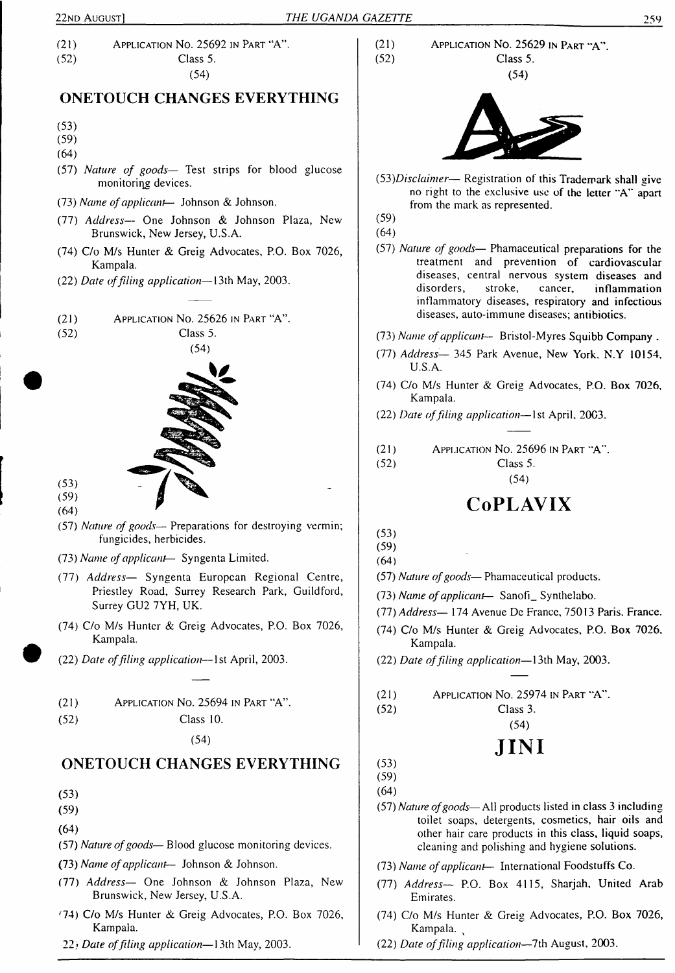(21) Application No. 25692 in Part "A". (52) Class 5. (54)

# **ONETOUCH CHANGES EVERYTHING**

- (53)
- (59)
- (64)
- (57) *Nature of goods—* Test strips for blood glucose monitoring devices.
- (73) *Name ofapplicant—* Johnson & Johnson.
- (77) *Address—* One Johnson & Johnson Plaza, New Brunswick, New Jersey, U.S.A.
- (74) C/o M/s Hunter & Greig Advocates, P.O. Box 7026, Kampala.
- (22) *Date offiling application—*13th May, 2003.
- (21) Application No. 25626 in Part "A".
- (52) Class 5.



- (53) (59)
- (64)
- (57) *Nature of goods—* Preparations for destroying vermin; fungicides, herbicides.
- (73) *Name ofapplicant—* Syngenta Limited.
- (77) *Address—* Syngenta European Regional Centre, Priestley Road, Surrey Research Park, Guildford, Surrey GU2 7YH, UK.
- (74) C/o M/s Hunter & Greig Advocates, P.O. Box 7026, Kampala.
- (22) *Date offiling application—*1st April, 2003.

| APPLICATION No. 25694 IN PART "A".<br>(21) |  |  |  |  |  |
|--------------------------------------------|--|--|--|--|--|
|--------------------------------------------|--|--|--|--|--|

(52) Class 10.

(54)

# **ONETOUCH CHANGES EVERYTHING**

- (53)
- (59)
- (64)
- (57) *Nature ofgoods* Blood glucose monitoring devices.
- (73) *Name ofapplicant—* Johnson & Johnson.
- (77) *Address—* One Johnson & Johnson Plaza, New Brunswick, New Jersey, U.S.A.
- z74) C/o M/s Hunter & Greig Advocates, P.O. Box 7026, Kampala.
- 22i *Date offiling application—*13th May, 2003.

APPLICATION NO. 25629 IN PART "A". Class 5.





*(53)Disclaimer—* Registration of this Trademark shall give no right to the exclusive use of the letter "A" apart from the mark as represented.

(59)

 $(21)$  $(52)$ 

- (64)
- (57) *Nature of goods—* Phamaceutical preparations for the treatment and prevention of cardiovascular diseases, central nervous system diseases and disorders, stroke, cancer, inflammation inflammatory diseases, respiratory' and infectious diseases, auto-immune diseases; antibiotics.
- (73) *Name ofapplicant-* Bristol-Myres Squibb Company .
- (77) *Address—* 345 Park Avenue, New York. N.Y 10154, U.S.A.
- (74) C/o M/s Hunter & Greig Advocates, P.O. Box 7026, Kampala.
- (22) *Date offiling application—*1st April, 2003.
- (21) Application No. 25696 in Part 'A". (52) Class 5.

(54)

# **CoPLAVIX**

- (53)
- (59)
- (64)
- (57) *Nature ofgoods* Phamaceutical products.
- (73) *Name ofapplicant* Sanofi\_ Synthelabo.
- *(JI) Address—* 174 Avenue De France, 75013 Paris. France.
- (74) C/o M/s Hunter & Greig Advocates, P.O. Box 7026. Kampala.
- (22) *Date offiling application—*13th May, 2003.
- (21) Application No. 25974 in Part 'A".

(52) Class 3.

# (54) **JINI**

- (53)
- (59) (64)
- (57) *Nature ofgoods—*All products listed in class <sup>3</sup> including toilet soaps, detergents, cosmetics, hair oils and other hair care products in this class, liquid soaps, cleaning and polishing and hygiene solutions.
- (73) *Name ofapplicant—* International Foodstuffs Co.
- (77) *Address—* P.O. Box 4115, Sharjah, United Arab Emirates.
- (74) C/o M/s Hunter & Greig Advocates, P.O. Box 7026, Kampala.
- (22) *Date offiling application—*7th August, 2003.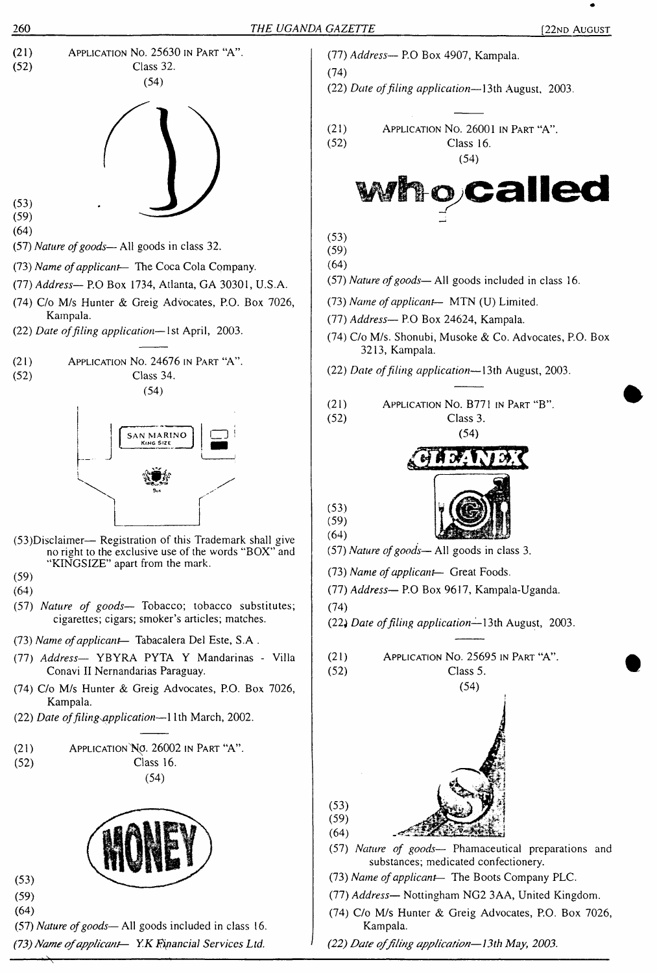

*(73) Name ofapplicant— Y.K Financial Services Ltd.*

- (77) *Address—* P.O Box 4907, Kampala.
	-
- (22) *Date offiling application—*13th August, 2003.
- (21) Application No. 26001 in Part "A".
- (52) Class 16.

(54)



- (57) *Nature ofgoods—*All goods included in class 16.
- (73) *Name ofapplicant—* MTN (U) Limited.
- (77) *Address—* P.O Box 24624, Kampala.
- (74) C/o M/s. Shonubi, Musoke & Co. Advocates, P.O. Box 3213, Kampala.
- (22) *Date offiling application—*13th August, 2003.
- (21) Application No. B771 in Part "B".
	- (54)





- (57) Nature of goods-All goods in class 3.
- (73) *Name ofapplicant—* Great Foods.
- (77) *Address—* P.O Box 9617, Kampala-Uganda.
- 
- (22) *Date offiling application—*13th August, 2003.
- Application No. 25695 in Part "A". Class 5.
	-



- (57) *Nature of goods—* Phamaceutical preparations and substances; medicated confectionery.
- (73) *Name ofapplicant—* The Boots Company PLC.
- (77) *Address—* Nottingham NG2 3AA, United Kingdom.
- (74) C/o M/s Hunter & Greig Advocates, P.O. Box 7026, Kampala.
- *(22) Date offiling application—13th May, 2003.*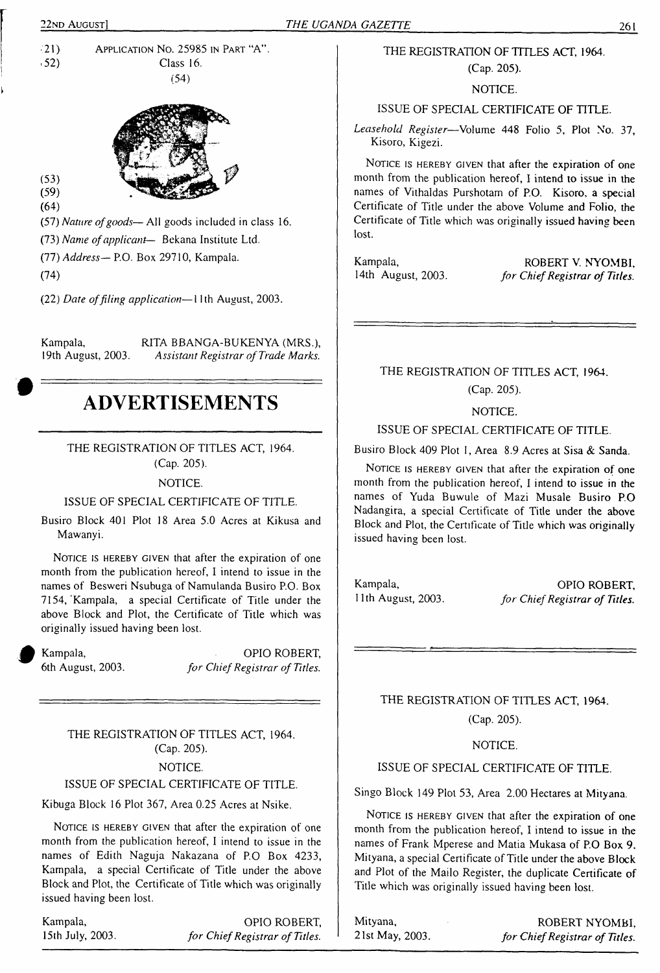$\frac{1}{21}$  Application No. 25985 in Part "A".  $Class 16.$ (54)



(53) (59) (64)

(57) *Nature ofgoods*—All goods included in class 16.

(73) *Name ofapplicant*— Bekana Institute Ltd.

(77) *Address—* P.O. Box 29710, Kampala.

(74)

(22) *Date offiling application—*11th August, 2003.

Kampala, RITA BBANGA-BUKENYA (MRS.), 19th August, 2003. Assistant Registrar of Trade Marks. 19th August, 2003. *Assistant Registrar of Trade Marks.*

# **ADVERTISEMENTS**

THE REGISTRATION OF TITLES ACT, 1964. (Cap. 205).

#### NOTICE.

# ISSUE OF SPECIAL CERTIFICATE OF TITLE.

Busiro Block 401 Plot 18 Area 5.0 Acres at Kikusa and Mawanyi.

NOTICE IS HEREBY GIVEN that after the expiration of one month from the publication hereof, I intend to issue in the names of Besweri Nsubuga of Namulanda Busiro P.O. Box 7154, 'Kampala, a special Certificate of Title under the above Block and Plot, the Certificate of Title which was originally issued having been lost.

Kampala, OPIO ROBERT, 6th August, 2003. *for ChiefRegistrar of Titles.*

THE REGISTRATION OF TITLES ACT, 1964. (Cap. 205). NOTICE.

ISSUE OF SPECIAL CERTIFICATE OF TITLE.

Kibuga Block 16 Plot 367, Area 0.25 Acres at Nsike.

NOTICE IS HEREBY GIVEN that after the expiration of one month from the publication hereof, I intend to issue in the names of Edith Naguja Nakazana of P.O Box 4233, Kampala, a special Certificate of Title under the above Block and Plot, the Certificate of Title which was originally issued having been lost.

Kampala, 15th July, 2003. OPIO ROBERT, *for ChiefRegistrar of Titles.*

# THE REGISTRATION OF TITLES ACT, 1964.

(Cap. 205).

NOTICE.

# ISSUE OF SPECIAL CERTIFICATE OF TITLE.

*Leasehold Register*—Volume 448 Folio 5, Plot No. 37, Kisoro, Kigezi.

NOTICE IS HEREBY GIVEN that after the expiration of one month from the publication hereof, I intend to issue in the names of Vithaldas Purshotam of P.O. Kisoro. a special Certificate of Title under the above Volume and Folio, the Certificate of Title which was originally issued having been lost.

Kampala, ROBERT V. NYOMBI, 14th August, 2003. *for Chief Registrar of Titles.* 14th August, 2003. *for ChiefRegistrar of Titles.*

THE REGISTRATION OF TITLES ACT, 1964. (Cap. 205).

NOTICE.

ISSUE OF SPECIAL CERTIFICATE OF TITLE.

Busiro Block 409 Plot 1, Area 8.9 Acres at Sisa & Sanda.

NOTICE IS HEREBY GIVEN that after the expiration of one month from the publication hereof, I intend to issue in the names of Yuda Buwule of Mazi Musale Busiro P.O Nadangira, a special Certificate of Title under the above Block and Plot, the Certificate of Title which was originally issued having been lost.

Kampala, 11th August, 2003.

OPIO ROBERT, *for ChiefRegistrar of Titles.*

THE REGISTRATION OF TITLES ACT, 1964. (Cap. 205).

#### NOTICE.

# ISSUE OF SPECIAL CERTIFICATE OF TITLE.

Singo Block 149 Plot 53, Area 2.00 Hectares at Mityana.

NOTICE IS HEREBY GIVEN that after the expiration of one month from the publication hereof, I intend to issue in the names of Frank Mperese and Matia Mukasa of P.O Box 9. Mityana, a special Certificate of Title under the above Block and Plot of the Mailo Register, the duplicate Certificate of Title which was originally issued having been lost.

Mityana, 21st May, 2003.

ROBERT NYOMBI, *for ChiefRegistrar of Titles.*